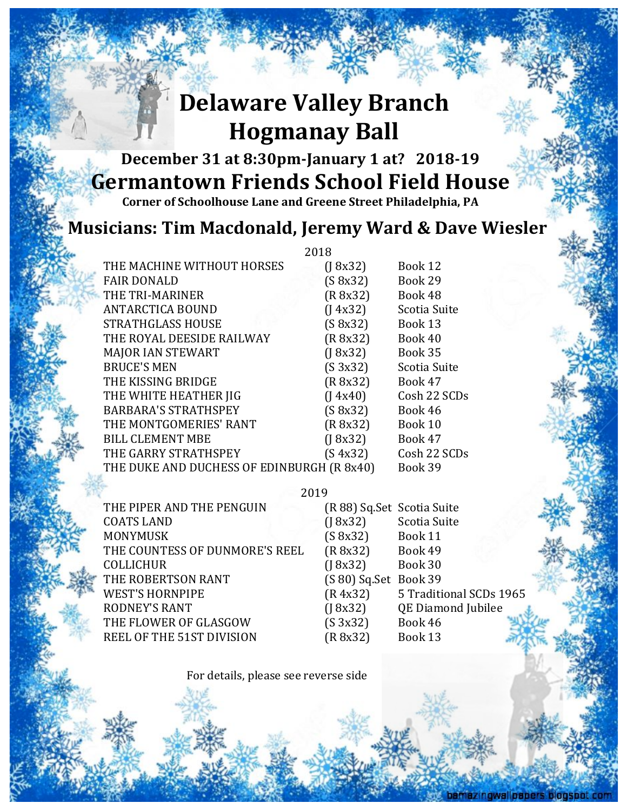## **Delaware Valley Branch Hogmanay Ball**

## **December 31 at 8:30pm-January 1 at? 2018-19 Germantown Friends School Field House**

**Corner of Schoolhouse Lane and Greene Street Philadelphia, PA** 

## **Musicians: Tim Macdonald, Jeremy Ward & Dave Wiesler**

|                                            | 2018 |                            |                         |  |
|--------------------------------------------|------|----------------------------|-------------------------|--|
| THE MACHINE WITHOUT HORSES                 |      | $($ [ 8x32)                | Book 12                 |  |
| <b>FAIR DONALD</b>                         |      | (S 8x32)                   | Book 29                 |  |
| THE TRI-MARINER                            |      | (R 8x32)                   | Book 48                 |  |
| <b>ANTARCTICA BOUND</b>                    |      | (14x32)                    | Scotia Suite            |  |
| STRATHGLASS HOUSE                          |      | (S 8x32)                   | Book 13                 |  |
| THE ROYAL DEESIDE RAILWAY                  |      | (R 8x32)                   | Book 40                 |  |
| <b>MAJOR IAN STEWART</b>                   |      | $($ [ 8x32)                | Book 35                 |  |
| <b>BRUCE'S MEN</b>                         |      | (S 3x32)                   | Scotia Suite            |  |
| THE KISSING BRIDGE                         |      | (R 8x32)                   | Book 47                 |  |
| THE WHITE HEATHER JIG                      |      | (14x40)                    | Cosh 22 SCDs            |  |
| <b>BARBARA'S STRATHSPEY</b>                |      | (S 8x32)                   | Book 46                 |  |
| THE MONTGOMERIES' RANT                     |      | (R 8x32)                   | Book 10                 |  |
| <b>BILL CLEMENT MBE</b>                    |      | (18x32)                    | Book 47                 |  |
| THE GARRY STRATHSPEY                       |      | (S 4x32)                   | Cosh 22 SCDs            |  |
| THE DUKE AND DUCHESS OF EDINBURGH (R 8x40) |      |                            | Book 39                 |  |
|                                            |      |                            |                         |  |
| 2019                                       |      |                            |                         |  |
| THE PIPER AND THE PENGUIN                  |      | (R 88) Sq.Set Scotia Suite |                         |  |
| <b>COATS LAND</b>                          |      | (18x32)                    | Scotia Suite            |  |
| <b>MONYMUSK</b>                            |      | (S 8x32)                   | Book 11                 |  |
| THE COUNTESS OF DUNMORE'S REEL             |      | (R 8x32)                   | Book 49                 |  |
| $\alpha$ ai i L $\alpha$ iiin              |      | (10.001)                   | $D_{\alpha}$ . $\Omega$ |  |

COLLICHUR (J 8x32) Book 30 THE ROBERTSON RANT (S 80) Sq.Set Book 39 WEST'S HORNPIPE (R 4x32) 5 Traditional SCDs 1965 RODNEY'S RANT (J 8x32) QE Diamond Jubilee THE FLOWER OF GLASGOW (S 3x32) Book 46 REEL OF THE 51ST DIVISION (R 8x32) Book 13

For details, please see reverse side